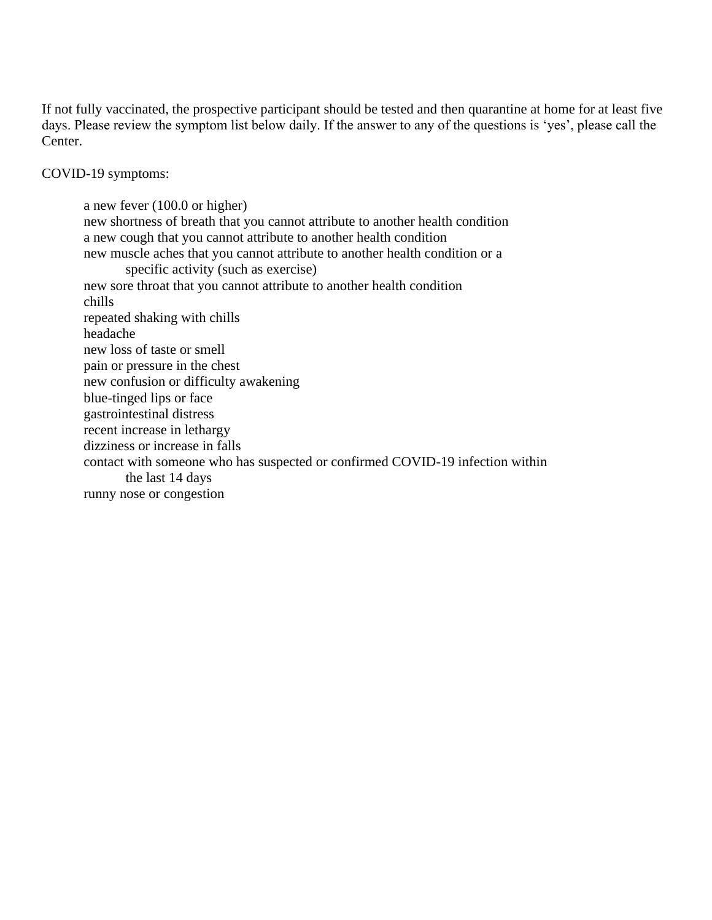If not fully vaccinated, the prospective participant should be tested and then quarantine at home for at least five days. Please review the symptom list below daily. If the answer to any of the questions is 'yes', please call the Center.

COVID-19 symptoms:

a new fever (100.0 or higher) new shortness of breath that you cannot attribute to another health condition a new cough that you cannot attribute to another health condition new muscle aches that you cannot attribute to another health condition or a specific activity (such as exercise) new sore throat that you cannot attribute to another health condition chills repeated shaking with chills headache new loss of taste or smell pain or pressure in the chest new confusion or difficulty awakening blue-tinged lips or face gastrointestinal distress recent increase in lethargy dizziness or increase in falls contact with someone who has suspected or confirmed COVID-19 infection within the last 14 days runny nose or congestion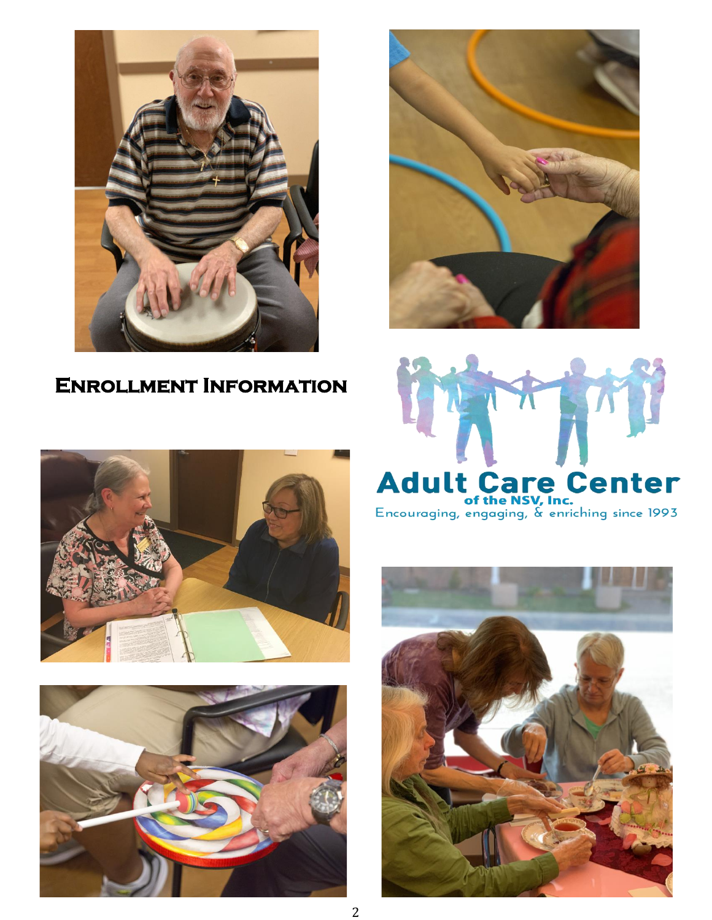

# **Enrollment Information**









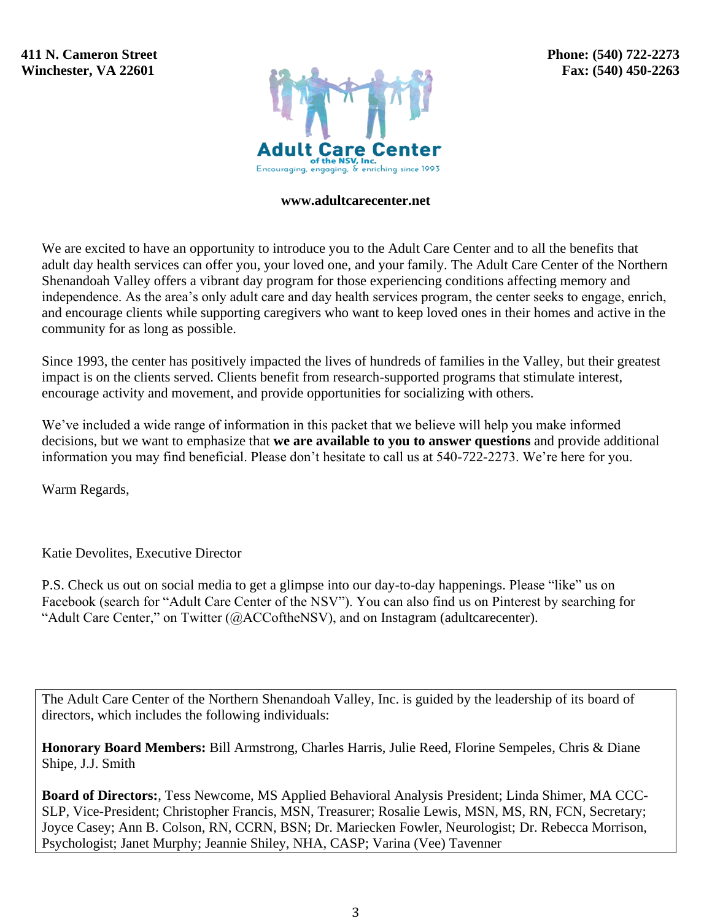**411 N. Cameron Street Winchester, VA 22601**



#### **www.adultcarecenter.net**

We are excited to have an opportunity to introduce you to the Adult Care Center and to all the benefits that adult day health services can offer you, your loved one, and your family. The Adult Care Center of the Northern Shenandoah Valley offers a vibrant day program for those experiencing conditions affecting memory and independence. As the area's only adult care and day health services program, the center seeks to engage, enrich, and encourage clients while supporting caregivers who want to keep loved ones in their homes and active in the community for as long as possible.

Since 1993, the center has positively impacted the lives of hundreds of families in the Valley, but their greatest impact is on the clients served. Clients benefit from research-supported programs that stimulate interest, encourage activity and movement, and provide opportunities for socializing with others.

We've included a wide range of information in this packet that we believe will help you make informed decisions, but we want to emphasize that **we are available to you to answer questions** and provide additional information you may find beneficial. Please don't hesitate to call us at 540-722-2273. We're here for you.

Warm Regards,

Katie Devolites, Executive Director

P.S. Check us out on social media to get a glimpse into our day-to-day happenings. Please "like" us on Facebook (search for "Adult Care Center of the NSV"). You can also find us on Pinterest by searching for "Adult Care Center," on Twitter (@ACCoftheNSV), and on Instagram (adultcarecenter).

The Adult Care Center of the Northern Shenandoah Valley, Inc. is guided by the leadership of its board of directors, which includes the following individuals:

**Honorary Board Members:** Bill Armstrong, Charles Harris, Julie Reed, Florine Sempeles, Chris & Diane Shipe, J.J. Smith

**Board of Directors:**, Tess Newcome, MS Applied Behavioral Analysis President; Linda Shimer, MA CCC-SLP, Vice-President; Christopher Francis, MSN, Treasurer; Rosalie Lewis, MSN, MS, RN, FCN, Secretary; Joyce Casey; Ann B. Colson, RN, CCRN, BSN; Dr. Mariecken Fowler, Neurologist; Dr. Rebecca Morrison, Psychologist; Janet Murphy; Jeannie Shiley, NHA, CASP; Varina (Vee) Tavenner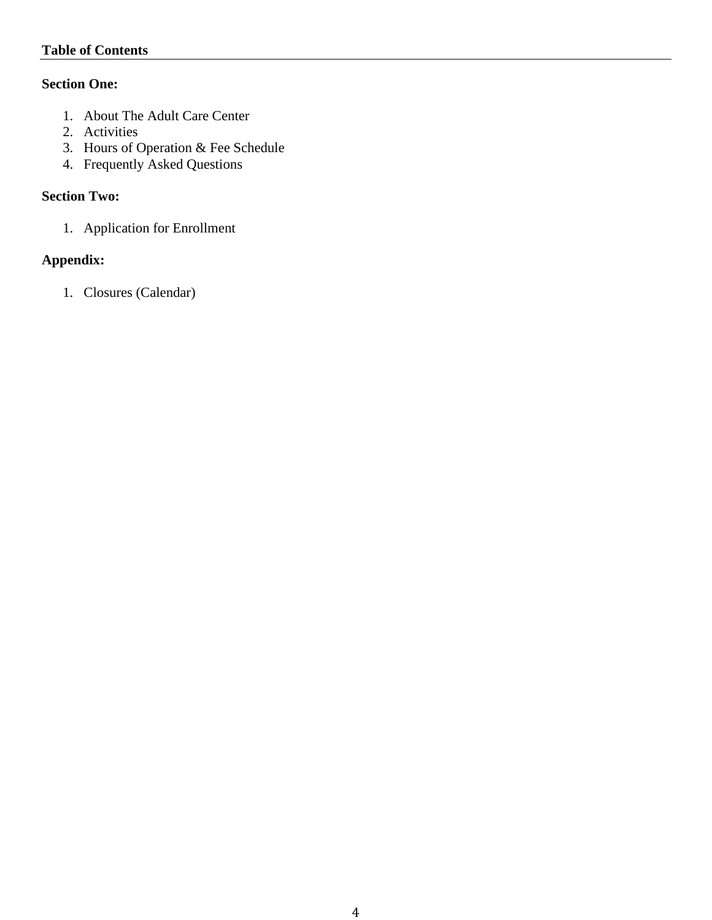# **Table of Contents**

# **Section One:**

- 1. About The Adult Care Center
- 2. Activities
- 3. Hours of Operation & Fee Schedule
- 4. Frequently Asked Questions

# **Section Two:**

1. Application for Enrollment

# **Appendix:**

1. Closures (Calendar)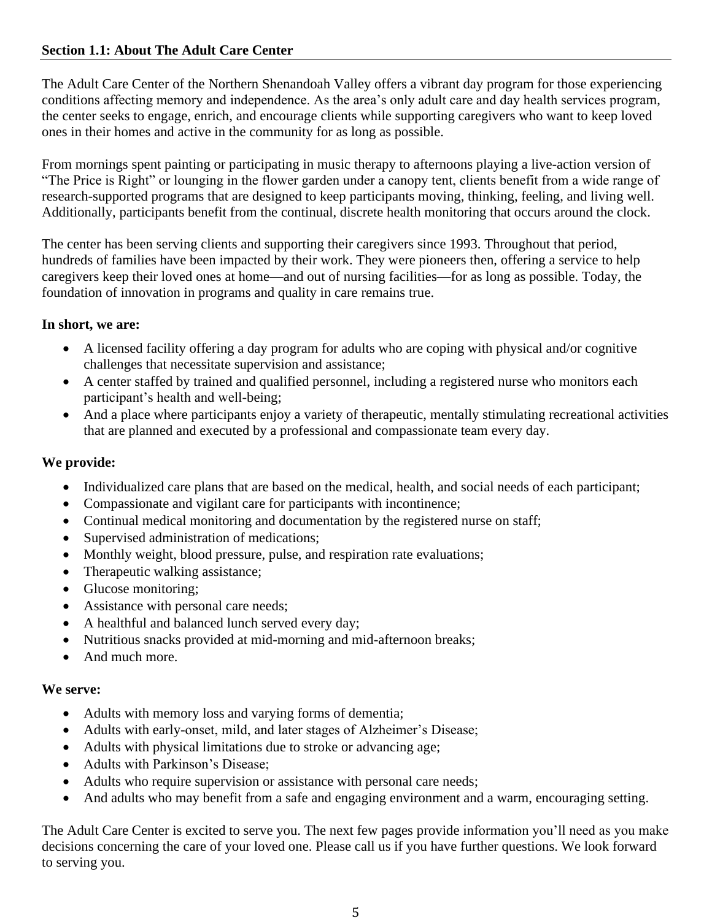# **Section 1.1: About The Adult Care Center**

The Adult Care Center of the Northern Shenandoah Valley offers a vibrant day program for those experiencing conditions affecting memory and independence. As the area's only adult care and day health services program, the center seeks to engage, enrich, and encourage clients while supporting caregivers who want to keep loved ones in their homes and active in the community for as long as possible.

From mornings spent painting or participating in music therapy to afternoons playing a live-action version of "The Price is Right" or lounging in the flower garden under a canopy tent, clients benefit from a wide range of research-supported programs that are designed to keep participants moving, thinking, feeling, and living well. Additionally, participants benefit from the continual, discrete health monitoring that occurs around the clock.

The center has been serving clients and supporting their caregivers since 1993. Throughout that period, hundreds of families have been impacted by their work. They were pioneers then, offering a service to help caregivers keep their loved ones at home—and out of nursing facilities—for as long as possible. Today, the foundation of innovation in programs and quality in care remains true.

# **In short, we are:**

- A licensed facility offering a day program for adults who are coping with physical and/or cognitive challenges that necessitate supervision and assistance;
- A center staffed by trained and qualified personnel, including a registered nurse who monitors each participant's health and well-being;
- And a place where participants enjoy a variety of therapeutic, mentally stimulating recreational activities that are planned and executed by a professional and compassionate team every day.

# **We provide:**

- Individualized care plans that are based on the medical, health, and social needs of each participant;
- Compassionate and vigilant care for participants with incontinence;
- Continual medical monitoring and documentation by the registered nurse on staff;
- Supervised administration of medications;
- Monthly weight, blood pressure, pulse, and respiration rate evaluations;
- Therapeutic walking assistance;
- Glucose monitoring;
- Assistance with personal care needs;
- A healthful and balanced lunch served every day;
- Nutritious snacks provided at mid-morning and mid-afternoon breaks;
- And much more.

# **We serve:**

- Adults with memory loss and varying forms of dementia;
- Adults with early-onset, mild, and later stages of Alzheimer's Disease;
- Adults with physical limitations due to stroke or advancing age;
- Adults with Parkinson's Disease;
- Adults who require supervision or assistance with personal care needs;
- And adults who may benefit from a safe and engaging environment and a warm, encouraging setting.

The Adult Care Center is excited to serve you. The next few pages provide information you'll need as you make decisions concerning the care of your loved one. Please call us if you have further questions. We look forward to serving you.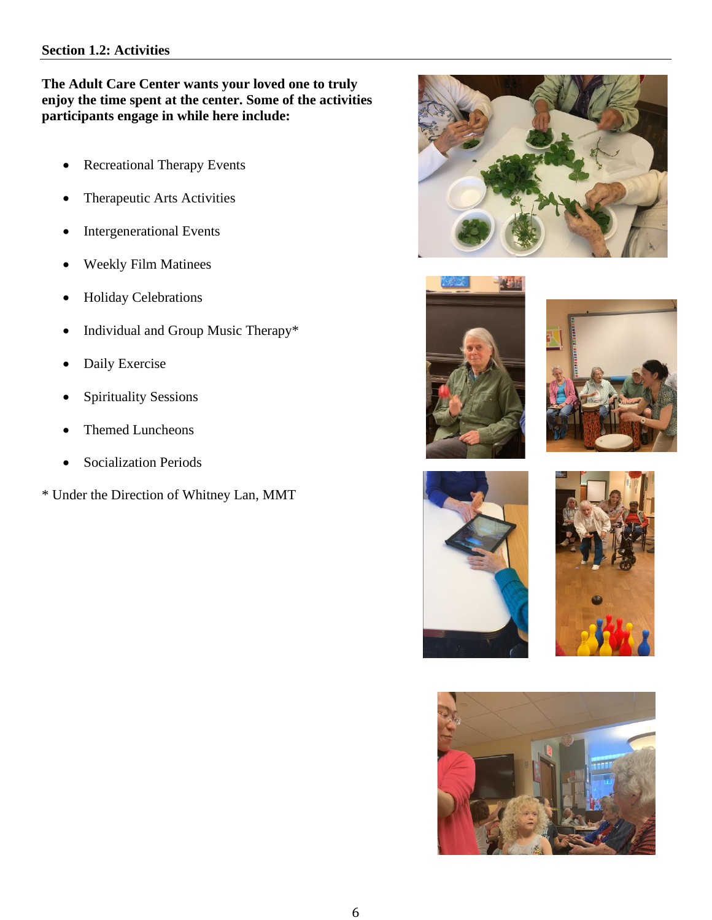#### **Section 1.2: Activities**

# **The Adult Care Center wants your loved one to truly enjoy the time spent at the center. Some of the activities participants engage in while here include:**

- Recreational Therapy Events
- Therapeutic Arts Activities
- Intergenerational Events
- Weekly Film Matinees
- Holiday Celebrations
- Individual and Group Music Therapy\*
- Daily Exercise
- Spirituality Sessions
- Themed Luncheons
- Socialization Periods
- \* Under the Direction of Whitney Lan, MMT











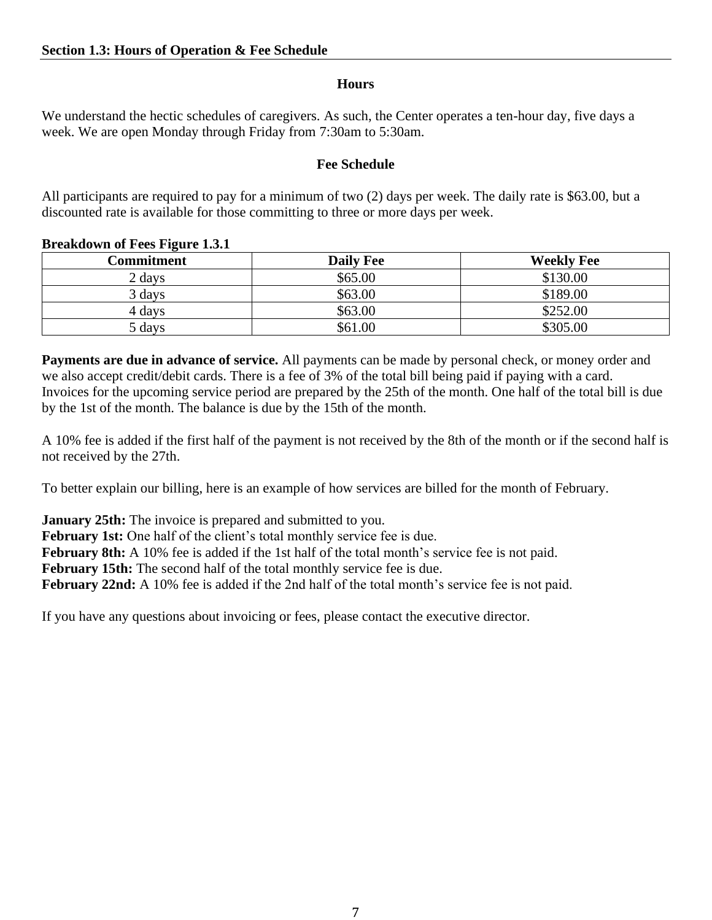# **Hours**

We understand the hectic schedules of caregivers. As such, the Center operates a ten-hour day, five days a week. We are open Monday through Friday from 7:30am to 5:30am.

# **Fee Schedule**

All participants are required to pay for a minimum of two (2) days per week. The daily rate is \$63.00, but a discounted rate is available for those committing to three or more days per week.

| -<br>Commitment | <b>Daily Fee</b> | <b>Weekly Fee</b> |  |  |
|-----------------|------------------|-------------------|--|--|
| 2 days          | \$65.00          | \$130.00          |  |  |
| 3 days          | \$63.00          | \$189.00          |  |  |
| 4 days          | \$63.00          | \$252.00          |  |  |
| 5 days          | \$61.00          | \$305.00          |  |  |

#### **Breakdown of Fees Figure 1.3.1**

**Payments are due in advance of service.** All payments can be made by personal check, or money order and we also accept credit/debit cards. There is a fee of 3% of the total bill being paid if paying with a card. Invoices for the upcoming service period are prepared by the 25th of the month. One half of the total bill is due by the 1st of the month. The balance is due by the 15th of the month.

A 10% fee is added if the first half of the payment is not received by the 8th of the month or if the second half is not received by the 27th.

To better explain our billing, here is an example of how services are billed for the month of February.

**January 25th:** The invoice is prepared and submitted to you.

February 1st: One half of the client's total monthly service fee is due.

February 8th: A 10% fee is added if the 1st half of the total month's service fee is not paid.

**February 15th:** The second half of the total monthly service fee is due.

**February 22nd:** A 10% fee is added if the 2nd half of the total month's service fee is not paid.

If you have any questions about invoicing or fees, please contact the executive director.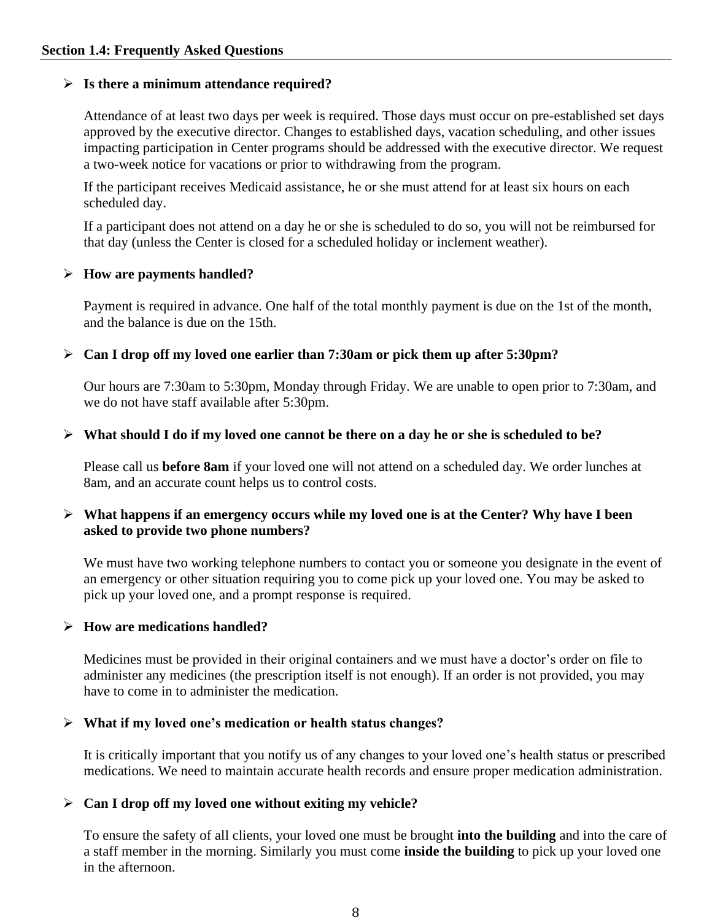### ➢ **Is there a minimum attendance required?**

Attendance of at least two days per week is required. Those days must occur on pre-established set days approved by the executive director. Changes to established days, vacation scheduling, and other issues impacting participation in Center programs should be addressed with the executive director. We request a two-week notice for vacations or prior to withdrawing from the program.

If the participant receives Medicaid assistance, he or she must attend for at least six hours on each scheduled day.

If a participant does not attend on a day he or she is scheduled to do so, you will not be reimbursed for that day (unless the Center is closed for a scheduled holiday or inclement weather).

#### ➢ **How are payments handled?**

Payment is required in advance. One half of the total monthly payment is due on the 1st of the month, and the balance is due on the 15th.

### ➢ **Can I drop off my loved one earlier than 7:30am or pick them up after 5:30pm?**

Our hours are 7:30am to 5:30pm, Monday through Friday. We are unable to open prior to 7:30am, and we do not have staff available after 5:30pm.

### ➢ **What should I do if my loved one cannot be there on a day he or she is scheduled to be?**

Please call us **before 8am** if your loved one will not attend on a scheduled day. We order lunches at 8am, and an accurate count helps us to control costs.

### ➢ **What happens if an emergency occurs while my loved one is at the Center? Why have I been asked to provide two phone numbers?**

We must have two working telephone numbers to contact you or someone you designate in the event of an emergency or other situation requiring you to come pick up your loved one. You may be asked to pick up your loved one, and a prompt response is required.

### ➢ **How are medications handled?**

Medicines must be provided in their original containers and we must have a doctor's order on file to administer any medicines (the prescription itself is not enough). If an order is not provided, you may have to come in to administer the medication.

### ➢ **What if my loved one's medication or health status changes?**

It is critically important that you notify us of any changes to your loved one's health status or prescribed medications. We need to maintain accurate health records and ensure proper medication administration.

### ➢ **Can I drop off my loved one without exiting my vehicle?**

To ensure the safety of all clients, your loved one must be brought **into the building** and into the care of a staff member in the morning. Similarly you must come **inside the building** to pick up your loved one in the afternoon.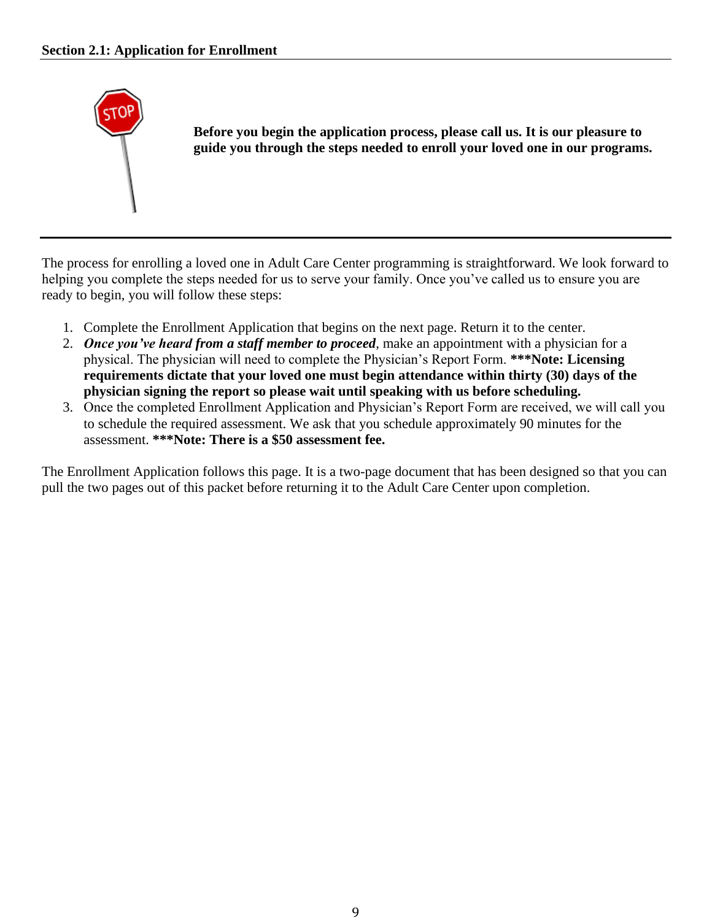

**Before you begin the application process, please call us. It is our pleasure to guide you through the steps needed to enroll your loved one in our programs.** 

The process for enrolling a loved one in Adult Care Center programming is straightforward. We look forward to helping you complete the steps needed for us to serve your family. Once you've called us to ensure you are ready to begin, you will follow these steps:

- 1. Complete the Enrollment Application that begins on the next page. Return it to the center.
- 2. *Once you've heard from a staff member to proceed*, make an appointment with a physician for a physical. The physician will need to complete the Physician's Report Form. **\*\*\*Note: Licensing requirements dictate that your loved one must begin attendance within thirty (30) days of the physician signing the report so please wait until speaking with us before scheduling.**
- 3. Once the completed Enrollment Application and Physician's Report Form are received, we will call you to schedule the required assessment. We ask that you schedule approximately 90 minutes for the assessment. **\*\*\*Note: There is a \$50 assessment fee.**

The Enrollment Application follows this page. It is a two-page document that has been designed so that you can pull the two pages out of this packet before returning it to the Adult Care Center upon completion.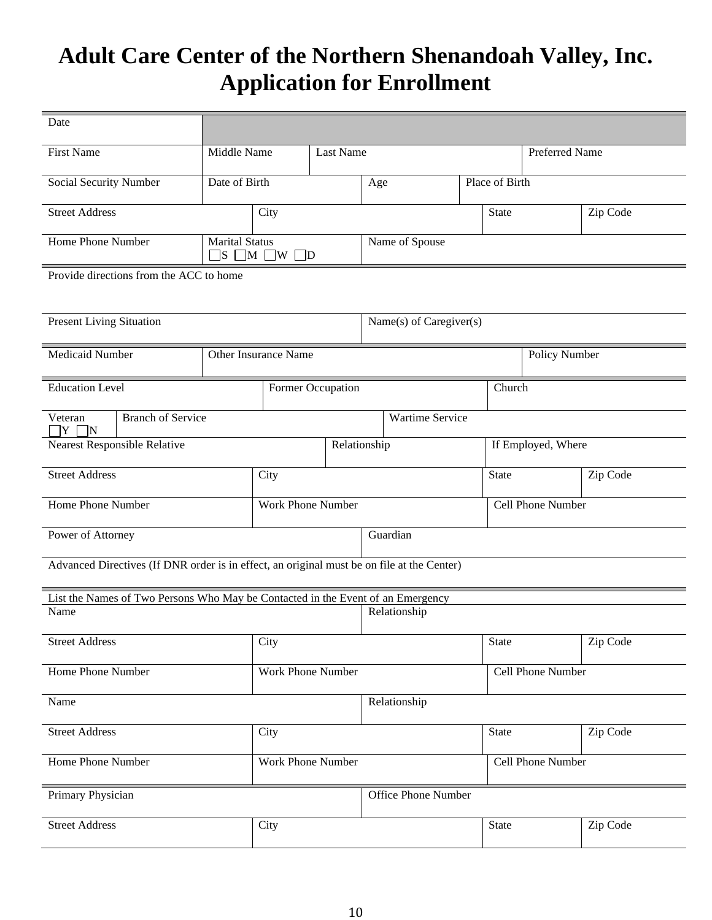# **Adult Care Center of the Northern Shenandoah Valley, Inc. Application for Enrollment**

| Date                                                                                                    |                       |                                                 |                     |                         |                |                   |                    |          |          |  |
|---------------------------------------------------------------------------------------------------------|-----------------------|-------------------------------------------------|---------------------|-------------------------|----------------|-------------------|--------------------|----------|----------|--|
| <b>First Name</b>                                                                                       | Middle Name           | Last Name                                       |                     |                         |                |                   | Preferred Name     |          |          |  |
| Social Security Number                                                                                  | Date of Birth         |                                                 |                     |                         | Age            |                   | Place of Birth     |          |          |  |
| <b>Street Address</b>                                                                                   |                       | City                                            |                     |                         |                |                   | <b>State</b>       |          | Zip Code |  |
| Home Phone Number                                                                                       | <b>Marital Status</b> | $\square$ s $\square$ m $\square$ w $\square$ d |                     |                         | Name of Spouse |                   |                    |          |          |  |
| Provide directions from the ACC to home                                                                 |                       |                                                 |                     |                         |                |                   |                    |          |          |  |
| <b>Present Living Situation</b>                                                                         |                       |                                                 |                     | Name(s) of Caregiver(s) |                |                   |                    |          |          |  |
| Medicaid Number                                                                                         |                       | Other Insurance Name                            |                     |                         |                |                   | Policy Number      |          |          |  |
| <b>Education Level</b>                                                                                  |                       | Former Occupation                               |                     |                         |                | Church            |                    |          |          |  |
| Veteran<br><b>Branch of Service</b><br><b>Wartime Service</b><br>ΤY<br>$\Box N$                         |                       |                                                 |                     |                         |                |                   |                    |          |          |  |
| Nearest Responsible Relative<br>Relationship                                                            |                       |                                                 |                     |                         |                |                   | If Employed, Where |          |          |  |
| <b>Street Address</b>                                                                                   |                       | City                                            |                     |                         |                |                   | <b>State</b>       |          | Zip Code |  |
| Home Phone Number                                                                                       |                       | Work Phone Number                               |                     |                         |                | Cell Phone Number |                    |          |          |  |
| Guardian<br>Power of Attorney                                                                           |                       |                                                 |                     |                         |                |                   |                    |          |          |  |
| Advanced Directives (If DNR order is in effect, an original must be on file at the Center)              |                       |                                                 |                     |                         |                |                   |                    |          |          |  |
| List the Names of Two Persons Who May be Contacted in the Event of an Emergency<br>Name<br>Relationship |                       |                                                 |                     |                         |                |                   |                    |          |          |  |
|                                                                                                         |                       |                                                 |                     |                         |                |                   |                    |          |          |  |
| <b>Street Address</b>                                                                                   |                       | City                                            |                     |                         |                | State             |                    | Zip Code |          |  |
| Home Phone Number                                                                                       |                       | Work Phone Number                               |                     |                         |                | Cell Phone Number |                    |          |          |  |
| Name                                                                                                    |                       |                                                 | Relationship        |                         |                |                   |                    |          |          |  |
| <b>Street Address</b>                                                                                   |                       | City                                            |                     |                         |                |                   | State              |          | Zip Code |  |
| Home Phone Number                                                                                       |                       | Work Phone Number                               |                     |                         |                | Cell Phone Number |                    |          |          |  |
| Primary Physician                                                                                       |                       |                                                 | Office Phone Number |                         |                |                   |                    |          |          |  |
| <b>Street Address</b>                                                                                   |                       | City                                            |                     |                         |                | State             |                    | Zip Code |          |  |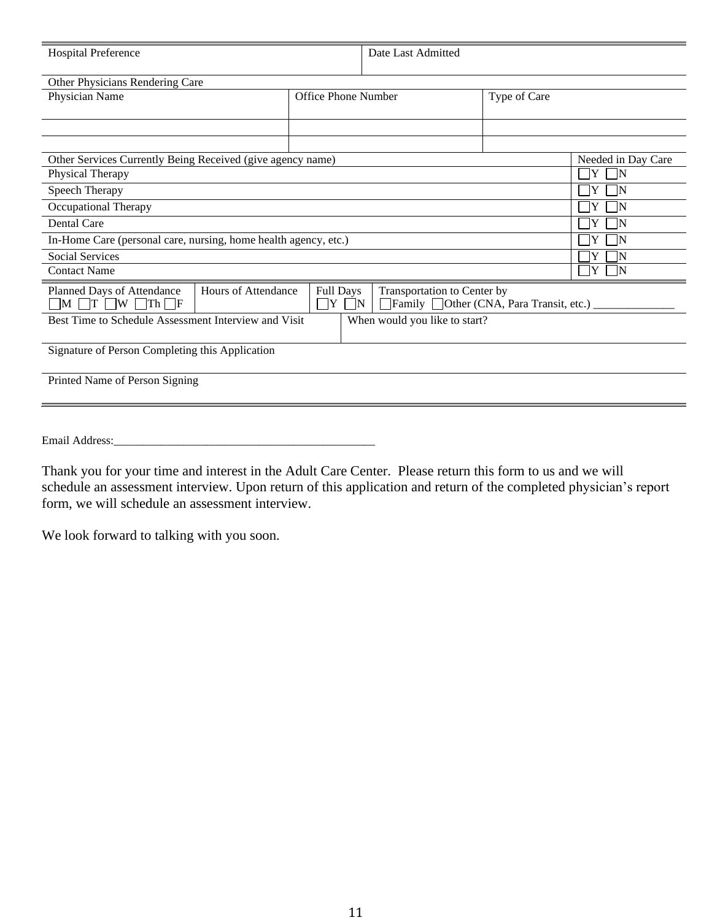| <b>Hospital Preference</b>                                                            |                     |                                             | Date Last Admitted                                                                  |              |          |  |  |  |
|---------------------------------------------------------------------------------------|---------------------|---------------------------------------------|-------------------------------------------------------------------------------------|--------------|----------|--|--|--|
| Other Physicians Rendering Care                                                       |                     |                                             |                                                                                     |              |          |  |  |  |
| Physician Name                                                                        |                     | Office Phone Number                         |                                                                                     | Type of Care |          |  |  |  |
|                                                                                       |                     |                                             |                                                                                     |              |          |  |  |  |
|                                                                                       |                     |                                             |                                                                                     |              |          |  |  |  |
| Other Services Currently Being Received (give agency name)                            |                     | Needed in Day Care                          |                                                                                     |              |          |  |  |  |
| Physical Therapy                                                                      | ÌΥ<br>$\mathbf N$   |                                             |                                                                                     |              |          |  |  |  |
| Speech Therapy                                                                        | IY<br>IN            |                                             |                                                                                     |              |          |  |  |  |
| Occupational Therapy                                                                  | IN                  |                                             |                                                                                     |              |          |  |  |  |
| Dental Care                                                                           | Y<br>IN             |                                             |                                                                                     |              |          |  |  |  |
| In-Home Care (personal care, nursing, home health agency, etc.)                       |                     |                                             |                                                                                     |              | IY<br>IN |  |  |  |
| <b>Social Services</b>                                                                |                     |                                             |                                                                                     |              | IN       |  |  |  |
| ŢΥ<br><b>Contact Name</b><br>$\mathbf N$                                              |                     |                                             |                                                                                     |              |          |  |  |  |
| Planned Days of Attendance<br>$\Box M$ $\Box T$ $\Box W$ $\Box Th$ $\Box F$           | Hours of Attendance | Full Days<br>$\mid \;  Y $<br>$\mathsf{LN}$ | Transportation to Center by<br>$\Box$ Family $\Box$ Other (CNA, Para Transit, etc.) |              |          |  |  |  |
| Best Time to Schedule Assessment Interview and Visit<br>When would you like to start? |                     |                                             |                                                                                     |              |          |  |  |  |
| Signature of Person Completing this Application                                       |                     |                                             |                                                                                     |              |          |  |  |  |
| Printed Name of Person Signing                                                        |                     |                                             |                                                                                     |              |          |  |  |  |
|                                                                                       |                     |                                             |                                                                                     |              |          |  |  |  |

Email Address:

Thank you for your time and interest in the Adult Care Center. Please return this form to us and we will schedule an assessment interview. Upon return of this application and return of the completed physician's report form, we will schedule an assessment interview.

We look forward to talking with you soon.